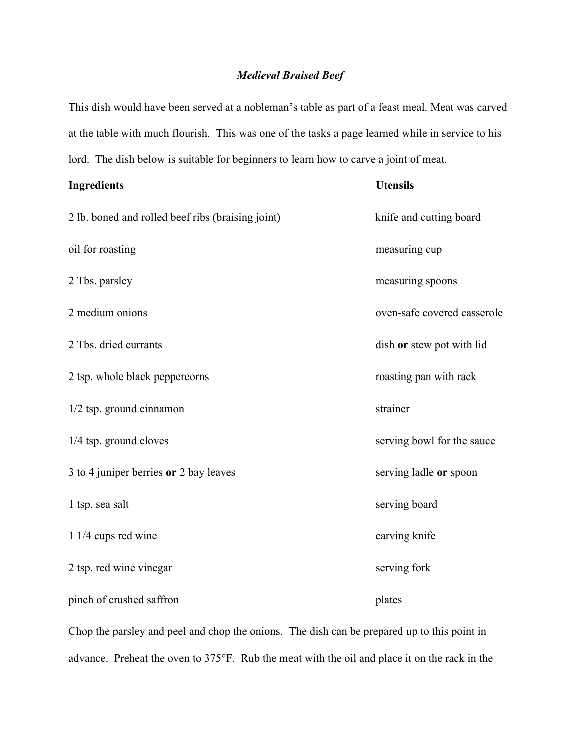## Medieval Braised Beef

This dish would have been served at a nobleman's table as part of a feast meal. Meat was carved at the table with much flourish. This was one of the tasks a page learned while in service to his lord. The dish below is suitable for beginners to learn how to carve a joint of meat.

| <b>Ingredients</b>                                | <b>Utensils</b>             |
|---------------------------------------------------|-----------------------------|
| 2 lb. boned and rolled beef ribs (braising joint) | knife and cutting board     |
| oil for roasting                                  | measuring cup               |
| 2 Tbs. parsley                                    | measuring spoons            |
| 2 medium onions                                   | oven-safe covered casserole |
| 2 Tbs. dried currants                             | dish or stew pot with lid   |
| 2 tsp. whole black peppercorns                    | roasting pan with rack      |
| $1/2$ tsp. ground cinnamon                        | strainer                    |
| 1/4 tsp. ground cloves                            | serving bowl for the sauce  |
| 3 to 4 juniper berries or 2 bay leaves            | serving ladle or spoon      |
| 1 tsp. sea salt                                   | serving board               |
| 1 1/4 cups red wine                               | carving knife               |
| 2 tsp. red wine vinegar                           | serving fork                |
| pinch of crushed saffron                          | plates                      |

Chop the parsley and peel and chop the onions. The dish can be prepared up to this point in advance. Preheat the oven to 375°F. Rub the meat with the oil and place it on the rack in the